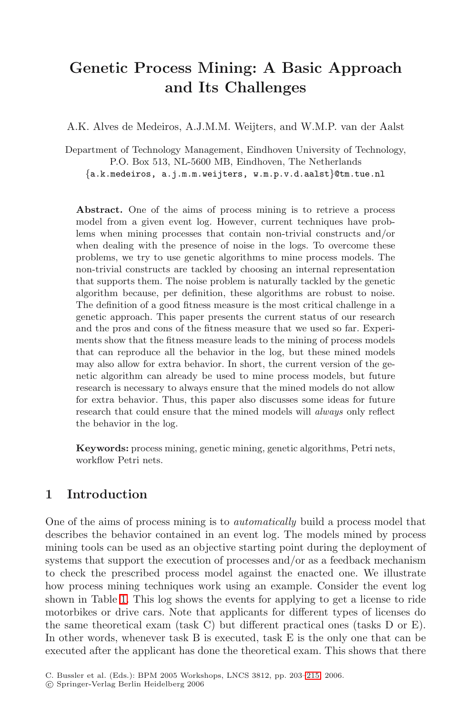# **Genetic Process Mining: A Basic Approach and Its Challenges**

A.K. Alves de Medeiros, A.J.M.M. Weijters, and W.M.P. van der Aalst

Department of Technology Management, Eindhoven University of Technology, P.O. Box 513, NL-5600 MB, Eindhoven, The Netherlands *{*a.k.medeiros, a.j.m.m.weijters, w.m.p.v.d.aalst*}*@tm.tue.nl

Abstract. One of the aims of process mining is to retrieve a process model from a given event log. However, current techniques have problems when mining processes that contain non-trivial constructs and/or when dealing with the presence of noise in the logs. To overcome these problems, we try to use genetic algorithms to mine process models. The non-trivial constructs are tackled by choosing an internal representation that supports them. The noise problem is naturally tackled by the genetic algorithm because, per definition, these algorithms are robust to noise. The definition of a good fitness measure is the most critical challenge in a genetic approach. This paper presents the current status of our research and the pros and cons of the fitness measure that we used so far. Experiments show that the fitness measure leads to the mining of process models that can reproduce all the behavior in the log, but these mined models may also allow for extra behavior. In short, the current version of the genetic algorithm can already be used to mine process models, but future research is necessary to always ensure that the mined models do not allow for extra behavior. Thus, this paper also discusses some ideas for future research that could ensure that the mined models will *always* only reflect the behavior in the log.

**Keywords:** process mining, genetic mining, genetic algorithms, Petri nets, workflow Petri nets.

# **1 Introduction**

One of the aims of process mining is to *automatically* build a process model that describes the behavior contained in an event log. The models mined by process mining tools can be used as an objective starting point during the deployment of systems that support the execution of processes and/or as a feedback mechanism to check the prescribed process model against the enacted one. We illustrate how process mining techniques wor[k](#page-12-0) [u](#page-12-0)sing an example. Consider the event log shown in Table 1. This log shows the events for applying to get a license to ride motorbikes or drive cars. Note that applicants for different types of licenses do the same theoretical exam (task C) but different practical ones (tasks D or E). In other words, whenever task B is executed, task E is the only one that can be executed after the applicant has done the theoretical exam. This shows that there

C. Bussler et al. (Eds.): BPM 2005 Workshops, LNCS 3812, pp. 203–215, 2006.

c Springer-Verlag Berlin Heidelberg 2006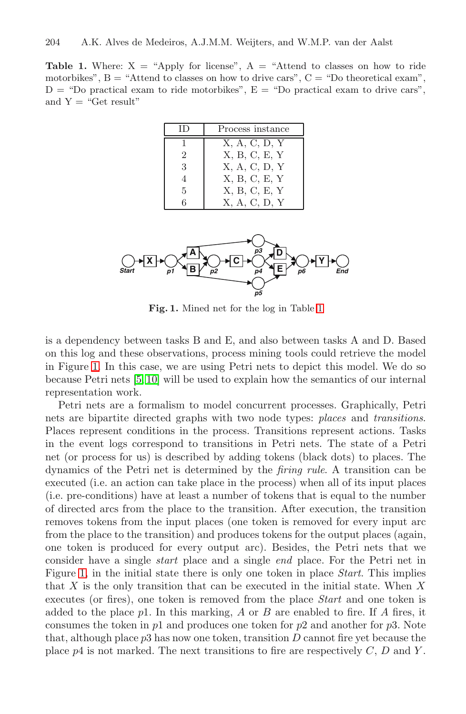<span id="page-1-1"></span>**Table 1.** Where:  $X =$  "Apply for license",  $A =$  "Attend to classes on how to ride motorbikes",  $B = "Attend$  to classes on how to drive cars",  $C = "Do$  theoretical exam".  $D =$  "Do practical exam to ride motorbikes",  $E =$  "Do practical exam to drive cars", and  $Y =$  "Get result"

|                             | Process instance |
|-----------------------------|------------------|
|                             | X, A, C, D, Y    |
| $\mathcal{D}_{\mathcal{L}}$ | X, B, C, E, Y    |
| 3                           | X, A, C, D, Y    |
| 4                           | X, B, C, E, Y    |
| 5                           | X, B, C, E, Y    |
|                             | X, A, C, D, Y    |

<span id="page-1-0"></span>

**Fig. 1.** Mined net for the log in Table 1

is a dependency between tasks B and E, and also between tasks A and D. Based on this log and these observations, process mining tools could retrieve the model in Figure 1. In this case, we are using Petri nets to depict this model. We do so because Petri nets [5, 10] will be used to explain how the semantics of our internal representation work.

Petri nets are a formalism to model concurrent processes. Graphically, Petri nets are bipartite directed graphs with two node types: *places* and *transitions*. Places represent conditions in the process. Transitions represent actions. Tasks in the event logs correspond to transitions in Petri nets. The state of a Petri net (or process for us) is described by adding tokens (black dots) to places. The dynamics of the Petri net is determined by the *firing rule*. A transition can be executed (i.e. an action can take place in the process) when all of its input places (i.e. pre-conditions) have at least a number of tokens that is equal to the number of directed arcs from the place to the transition. After execution, the transition removes tokens from the input places (one token is removed for every input arc from the place to the transition) and produces tokens for the output places (again, one token is produced for every output arc). Besides, the Petri nets that we consider have a single *start* place and a single *end* place. For the Petri net in Figure 1, in the initial state there is only one token in place *Start*. This implies that  $X$  is the only transition that can be executed in the initial state. When  $X$ executes (or fires), one token is removed from the place *Start* and one token is added to the place p1. In this marking,  $A$  or  $B$  are enabled to fire. If  $A$  fires, it consumes the token in p1 and produces one token for p2 and another for p3. Note that, although place  $p3$  has now one token, transition D cannot fire yet because the place  $p4$  is not marked. The next transitions to fire are respectively C, D and Y.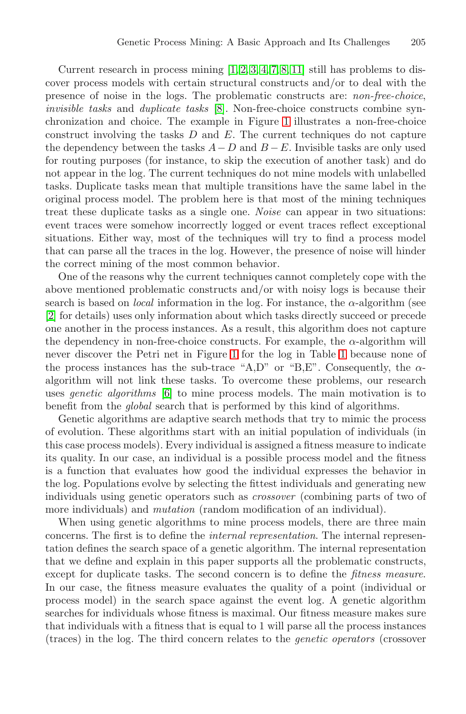Current research in process mining  $[1, 2, 3, 4, 7, 8, 11]$  still has problems to discover process models with certain structural constructs and/or to deal with the presence of noise in the logs. The problematic constructs are: *non-free-choice*, *invisible tasks* and *duplicate tasks* [8]. Non-free-choice constructs combine synchronization and choice. The example in Figure 1 illustrates a non-free-choice construct involving the tasks  $D$  and  $E$ . The current techniques do not capture the dependency between the tasks  $A-D$  and  $B-E$ . Invisible tasks are only used for routing purposes (for instance, to skip the execution of another task) and do not appear in the log. The current techniques do not mine models with unlabelled tasks. Duplicate tasks mean that multiple transitions have the same label in the original process model. The problem here is that most of the mining techniques treat these duplicate tasks as a single one. *Noise* can appear in two situations: event traces were somehow incorrectly logged or event traces reflect exceptional situations. Either way, most of the techniques will try to find a process model that can parse all the traces in the log. However, the presence of noise will hinder the correct mining o[f t](#page-1-0)he most common be[ha](#page-1-1)vior.

One of the reasons why the current techniques cannot completely cope with the above mentioned problematic constructs and/or with noisy logs is because their searc[h is](#page-12-1) based on *local* information in the log. For instance, the  $\alpha$ -algorithm (see [2] for details) uses only information about which tasks directly succeed or precede one another in the process instances. As a result, this algorithm does not capture the dependency in non-free-choice constructs. For example, the  $\alpha$ -algorithm will never discover the Petri net in Figure 1 for the log in Table 1 because none of the process instances has the sub-trace "A,D" or "B,E". Consequently, the  $\alpha$ algorithm will not link these tasks. To overcome these problems, our research uses *genetic algorithms* [6] to mine process models. The main motivation is to benefit from the *global* search that is performed by this kind of algorithms.

Genetic algorithms are adaptive search methods that try to mimic the process of evolution. These algorithms start with an initial population of individuals (in this case process models). Every individual is assigned a fitness measure to indicate its quality. In our case, an individual is a possible process model and the fitness is a function that evaluates how good the individual expresses the behavior in the log. Populations evolve by selecting the fittest individuals and generating new individuals using genetic operators such as *crossover* (combining parts of two of more individuals) and *mutation* (random modification of an individual).

When using genetic algorithms to mine process models, there are three main concerns. The first is to define the *internal representation*. The internal representation defines the search space of a genetic algorithm. The internal representation that we define and explain in this paper supports all the problematic constructs, except for duplicate tasks. The second concern is to define the *fitness measure*. In our case, the fitness measure evaluates the quality of a point (individual or process model) in the search space against the event log. A genetic algorithm searches for individuals whose fitness is maximal. Our fitness measure makes sure that individuals with a fitness that is equal to 1 will parse all the process instances (traces) in the log. The third concern relates to the *genetic operators* (crossover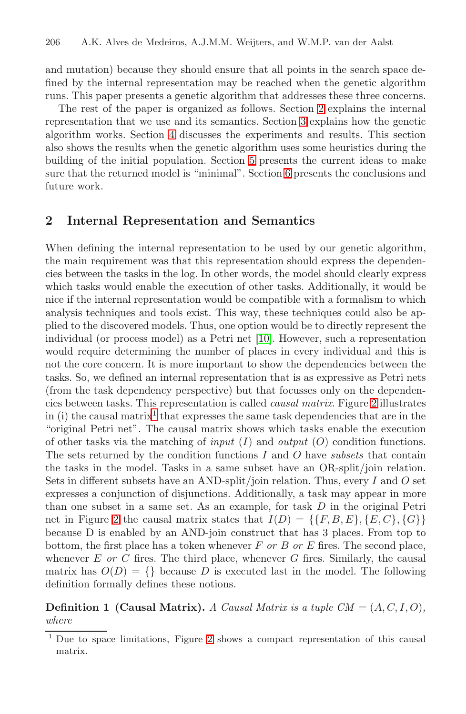and mutation) because [th](#page-11-0)ey should ensure that all points in the search space defined by the internal represent[ati](#page-11-1)on may be reached when the genetic algorithm runs. This paper presents a genetic algorithm that addresses these three concerns.

The rest of the paper is organized as follows. Section 2 explains the internal representation that we use and its semantics. Section 3 explains how the genetic algorithm works. Section 4 discusses the experiments and results. This section also shows the results when the genetic algorithm uses some heuristics during the building of the initial population. Section 5 presents the current ideas to make sure that the returned model is "minimal". Section 6 presents the conclusions and future work.

# **2 Internal Representation and Semantics**

When defining the intern[al r](#page-12-2)epresentation to be used by our genetic algorithm. the main requirement was that this representation should express the dependencies between the tasks in the log. In other words, the model should clearly express which tasks would enable the execution of other tasks. Additionally, it would be nice if the internal representation would be compatible with a formalism to which analysis techniques and tools exist. This way, the[se](#page-4-0) techniques could also be applie[d](#page-3-0) to the discovered models. Thus, one option would be to directly represent the individual (or process model) as a Petri net [10]. However, such a representation would require determining the number of places in every individual and this is not the core concern. It is more important to show the dependencies between the tasks. So, we defined an internal representation that is as expressive as Petri nets (from the task dependency perspective) but that focusses only on the dependencies between tasks. This representation is called *causal matrix*. Figure 2 illustrates in (i) the causal matrix<sup>1</sup> that expresses the same task dependencies that are in the "original Petri net". The causal matrix shows which tasks enable the execution of other tasks via the matching of *input*  $(I)$  and *output*  $(O)$  condition functions. The sets returned by the condition functions I and O have *subsets* that contain the tasks in the model. Tasks in a same subset have an OR-split/join relation. Sets in different subsets have an AND-split/join relation. Thus, every  $I$  and  $O$  set expresses a conjunction of disjunctions. Additionally, a task may appear in more than one subset in a same set. As an example, for task  $D$  in the original Petri net in Figure 2 the causal matrix states that  $I(D) = \{ \{F, B, E\}, \{E, C\}, \{G\} \}$ because D is enabled by an AND-join construct that has 3 places. From top to bottom, the fir[st](#page-4-0) place has a token whenever F *or* B *or* E fires. The second place, whenever  $E$  *or*  $C$  fires. The third place, whenever  $G$  fires. Similarly, the causal matrix has  $O(D) = \{\}$  because D is executed last in the model. The following definition formally defines these notions.

<span id="page-3-1"></span><span id="page-3-0"></span>**Definition 1 (Causal Matrix).** *A Causal Matrix is a tuple CM* =  $(A, C, I, O)$ *, where*

<sup>1</sup> Due to space limitations, Figure 2 shows a compact representation of this causal matrix.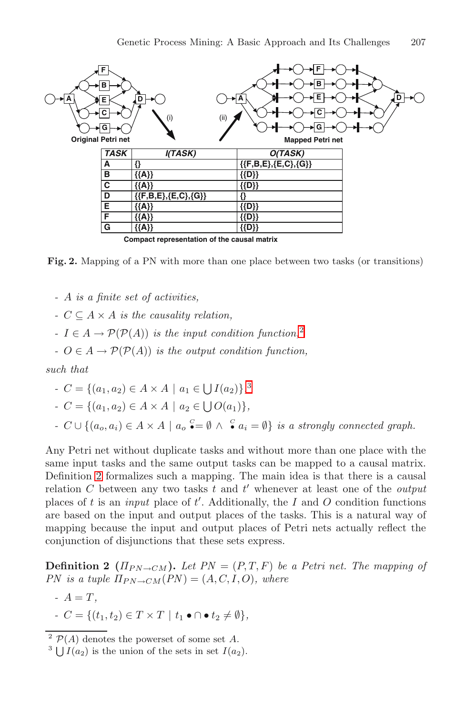

Genetic Process Mining: A Basic Approach and Its Challenges 207

<span id="page-4-0"></span>**Fig. 2.** Mapping of a PN with more than one place between two tasks (or transitions)

- *-* A *is a finite set of [ac](#page-4-2)tivities,*
- *-* C ⊆ A × A *is the causality relation,*
- *- I*∈ *A* →  $\mathcal{P}(\mathcal{P}(A))$  *is the input condition function.*<sup>2</sup>
- *-*  $O ∈ A → P(P(A))$  *is the output condition function,*

*such that*

- 
$$
C = \{(a_1, a_2) \in A \times A \mid a_1 \in \bigcup I(a_2)\}\,
$$
<sup>3</sup>

- 
$$
C = \{(a_1, a_2) \in A \times A \mid a_2 \in \bigcup O(a_1)\},\
$$

*-*  $C \cup \{(a_o, a_i) \in A \times A \mid a_o \stackrel{C}{\bullet} = \emptyset \wedge \stackrel{C}{\bullet} a_i = \emptyset\}$  *is a strongly connected graph.* 

Any Petri net without duplicate tasks and without more than one place with the same input tasks and the same output tasks can be mapped to a causal matrix. Definition 2 formalizes such a mapping. The main idea is that there is a causal relation  $C$  between any two tasks  $\tilde{t}$  and  $t'$  whenever at least one of the *output* places of  $t$  is an *input* place of  $t'$ . Additionally, the  $I$  and  $O$  condition functions are based on the input and output places of the tasks. This is a natural way of mapping because the input and output places of Petri nets actually reflect the conjunction of disjunctions that these sets express.

<span id="page-4-2"></span><span id="page-4-1"></span>**Definition 2** ( $\Pi_{PN\rightarrow CM}$ ). Let  $PN = (P, T, F)$  be a Petri net. The mapping of *PN* is a tuple  $\Pi_{PN\rightarrow CM}(PN) = (A, C, I, O)$ , where

- $A = T$
- *-*  $C = \{(t_1, t_2) \in T \times T \mid t_1 \bullet \cap \bullet t_2 \neq \emptyset\},\$

 $\sqrt{P(A)}$  denotes the powerset of some set *A*.

 $\frac{3}{1}$   $\prod_{1}^{6}(a_2)$  is the union of the sets in set  $I(a_2)$ .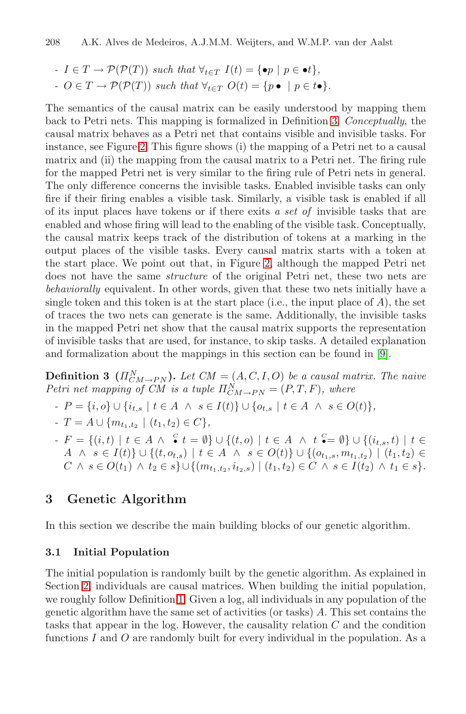\n- \n
$$
I \in T \to \mathcal{P}(\mathcal{P}(T))
$$
\n*such that*\n $\forall_{t \in T} I(t) = \{ \bullet p \mid p \in \bullet t \},$ \n
\n- \n $O \in T \to \mathcal{P}(\mathcal{P}(T))$ \n*such that*\n $\forall_{t \in T} O(t) = \{ p \bullet \mid p \in t \bullet \}.$ \n
\n

The semantics of the causal matrix can be easily understood by mapping them back to Petri nets. This mapping is formalized in Definition 3. *Conceptually*, the causal matrix behaves as a Petri net that contains visible and invisible tasks. For instance, see Figure 2. This figure shows (i) the mapping of a Petri net to a causal matrix and (ii) the mapping from the causal matrix to a Petri net. The firing rule for the mapped Petri net is [v](#page-4-0)ery similar to the firing rule of Petri nets in general. The only difference concerns the invisible tasks. Enabled invisible tasks can only fire if their firing enables a visible task. Similarly, a visible task is enabled if all of its input places have tokens or if there exits *a set of* invisible tasks that are enabled and whose firing will lead to the enabling of the visible task. Conceptually, the causal matrix keeps track of the distribution of tokens at a marking in the output places of the visible tasks. Every causal matrix starts with a token at the start place. We point out that, in Figure 2, al[tho](#page-12-3)ugh the mapped Petri net does not have the same *structure* of the original Petri net, these two nets are *behaviorally* equivalent. In other words, given that these two nets initially have a single token and this token is at the start place (i.e., the input place of  $A$ ), the set of traces the two nets can generate is the same. Additionally, the invisible tasks in the mapped Petri net show that the causal matrix supports the representation of invisible tasks that are used, for instance, to skip tasks. A detailed explanation and formalization about the mappings in this section can be found in [9].

<span id="page-5-0"></span>**Definition 3**  $(\Pi_{CM\rightarrow PN}^N)$ . Let  $CM = (A, C, I, O)$  be a causal matrix. The naive Petri net mapping of  $CM$  is a tuple  $\Pi_{CM\rightarrow PN}^N = (P, T, F)$ , where

- *-*  $P = \{i, o\} \cup \{i_{t,s} \mid t \in A \land s \in I(t)\} \cup \{o_{t,s} \mid t \in A \land s \in O(t)\},$
- *-*  $T = A ∪ {m_{t_1,t_2} | (t_1,t_2) ∈ C}$
- *-*  $F = \{(i, t) | t \in A \land \frac{c}{\bullet} t = \emptyset\} \cup \{(t, o) | t \in A \land t \stackrel{c}{\bullet} = \emptyset\} \cup \{(i_{t,s}, t) | t \in A \land t \stackrel{c}{\bullet} = \emptyset\}$ A ∧  $s \in I(t)$   $\cup$  { $(t, o_{t,s})$  |  $t \in A \land s \in O(t)$   $\cup$  { $(o_{t_1,s}, m_{t_1,t_2})$  |  $(t_1, t_2) \in$  $C \wedge s \in O(t_1) \wedge t_2 \in s$ <sup>1</sup>)  $\{(m_{t_1,t_2}, i_{t_2,s}) \mid (t_1,t_2) \in C \wedge s \in I(t_2) \wedge t_1 \in s\}.$

# **3 Ge[ne](#page-3-1)tic Algorithm**

In this section we describe the main building blocks of our genetic algorithm.

# **3.1 Initial Population**

The initial population is randomly built by the genetic algorithm. As explained in Section 2, individuals are causal matrices. When building the initial population, we roughly follow Definition 1. Given a log, all individuals in any population of the genetic algorithm have the same set of activities (or tasks) A. This set contains the tasks that appear in the log. However, the causality relation  $C$  and the condition functions  $I$  and  $O$  are randomly built for every individual in the population. As a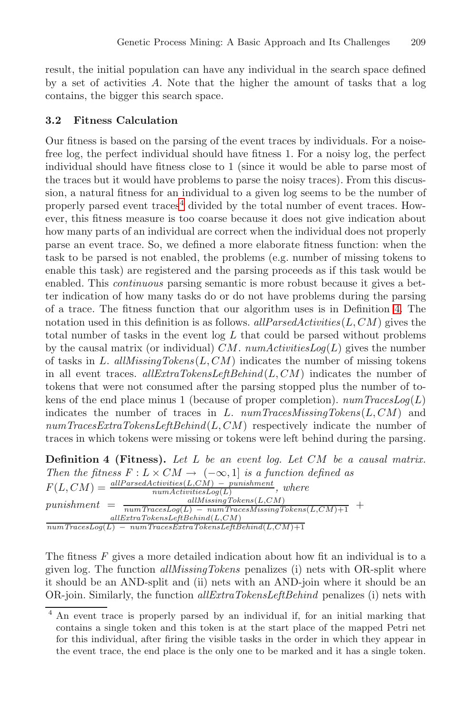<span id="page-6-2"></span>result, the initial population can have any individual in the search space defined by a set of activities A. Note that the higher the amount of tasks that a log contains, the bigger this search space.

#### **3.2 Fi[tn](#page-6-0)ess Calculation**

Our fitness is based on the parsing of the event traces by individuals. For a noisefree log, the perfect individual should have fitness 1. For a noisy log, the perfect individual should have fitness close to 1 (since it would be able to parse most of the traces but it would have problems to parse the noisy traces). From this discussion, a natural fitness for an individual to a given log seems to be the number of properly parsed event traces<sup>4</sup> divided by the total number of event traces. However, this fitness measure is too coarse because it does [n](#page-6-1)ot give indication about how many parts of an individual are correct when the individual does not properly parse an event trace. So, we defined a more elaborate fitness function: when the task to be parsed is not enabled, the problems (e.g. number of missing tokens to enable this task) are registered and the parsing proceeds as if this task would be enabled. This *continuous* parsing semantic is more robust because it gives a better indication of how many tasks do or do not have problems during the parsing of a trace. The fitness function that our algorithm uses is in Definition 4. The notation used in this definition is as follows. *allParsedActivities* (L, CM) gives the total number of tasks in the event log L that could be parsed without problems by the causal matrix (or individual) CM. *numActivitiesLog*(L) gives the number of tasks in L. *allMissingTokens* (L, CM) indicates the number of missing tokens in all event traces. *allExtraTokensLeftBehind* (L, CM) indicates the number of tokens that were not consumed after the parsing stopped plus the number of tokens of the end place minus 1 (because of proper completion). *numTracesLog*(L) indicates the number of traces in L. *numTracesMissingTokens*(L, CM) and *numTracesExtraTokensLeftBehind*(L, CM) respectively indicate the number of traces in which tokens were missing or tokens were left behind during the parsing.

<span id="page-6-1"></span>**Definition 4 (Fitness).** *Let* L *be an event log. Let* CM *be a causal matrix. Then the fitness*  $F: L \times CM \rightarrow (-\infty, 1]$  *is a function defined as*  $F(L, CM) = \frac{allParsedActivities(L, CM) - punishment}{numberElog(L)}$ , where  $punishment = \frac{allMissingTokens(L, CM)}{numTraceLog(L) - numTraceMs^{in}} +$ <br>  $allExtraTokensLeftBehind(L, CM)$ 

<span id="page-6-0"></span>*numTracesLog*(*L*) − *numTracesExtraTokensLeftBehind*(*L,CM*)+1

The fitness *F* gives a more detailed indication about how fit an individual is to a given log. The function *allMissingTokens* penalizes (i) nets with OR-split where it should be an AND-split and (ii) nets with an AND-join where it should be an OR-join. Similarly, the function *allExtraTokensLeftBehind* penalizes (i) nets with

<sup>4</sup> An event trace is properly parsed by an individual if, for an initial marking that contains a single token and this token is at the start place of the mapped Petri net for this individual, after firing the visible tasks in the order in which they appear in the event trace, the end place is the only one to be marked and it has a single token.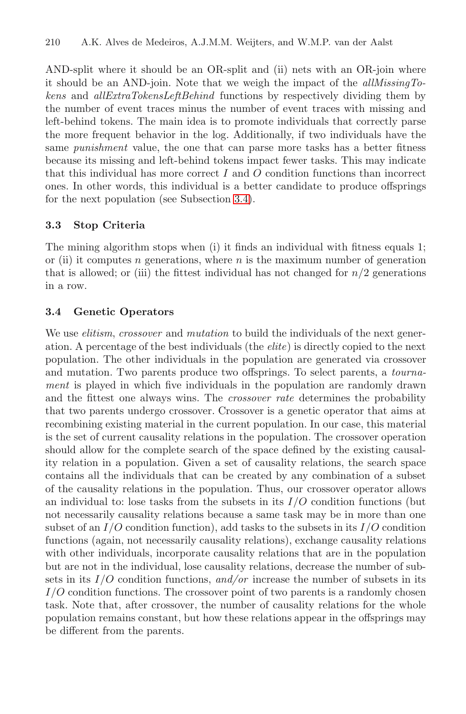AND-split where it should be an OR-split and (ii) nets with an OR-join where it should be an AND-join. Note that we weigh the impact of the *allMissingTokens* and *allExtraTokensLeftBehind* functions by respectively dividing them by the number of event [tra](#page-7-0)ces minus the number of event traces with missing and left-behind tokens. The main idea is to promote individuals that correctly parse the more frequent behavior in the log. Additionally, if two individuals have the same *punishment* value, the one that can parse more tasks has a better fitness because its missing and left-behind tokens impact fewer tasks. This may indicate that this individual has more correct  $I$  and  $O$  condition functions than incorrect ones. In other words, this individual is a better candidate to produce offsprings for the next population (see Subsection 3.4).

#### <span id="page-7-0"></span>**3.3 Stop Criteria**

The mining algorithm stops when (i) it finds an individual with fitness equals 1; or (ii) it computes n generations, where n is the maximum number of generation that is allowed; or (iii) the fittest individual has not changed for  $n/2$  generations in a row.

#### **3.4 Genetic Operators**

We use *elitism*, *crossover* and *mutation* to build the individuals of the next generation. A percentage of the best individuals (the *elite*) is directly copied to the next population. The other individuals in the population are generated via crossover and mutation. Two parents produce two offsprings. To select parents, a *tournament* is played in which five individuals in the population are randomly drawn and the fittest one always wins. The *crossover rate* determines the probability that two parents undergo crossover. Crossover is a genetic operator that aims at recombining existing material in the current population. In our case, this material is the set of current causality relations in the population. The crossover operation should allow for the complete search of the space defined by the existing causality relation in a population. Given a set of causality relations, the search space contains all the individuals that can be created by any combination of a subset of the causality relations in the population. Thus, our crossover operator allows an individual to: lose tasks from the subsets in its  $I/O$  condition functions (but not necessarily causality relations because a same task may be in more than one subset of an  $I/O$  condition function), add tasks to the subsets in its  $I/O$  condition functions (again, not necessarily causality relations), exchange causality relations with other individuals, incorporate causality relations that are in the population but are not in the individual, lose causality relations, decrease the number of subsets in its I/O condition functions, *and/or* increase the number of subsets in its  $I/O$  condition functions. The crossover point of two parents is a randomly chosen task. Note that, after crossover, the number of causality relations for the whole population remains constant, but how these relations appear in the offsprings may be different from the parents.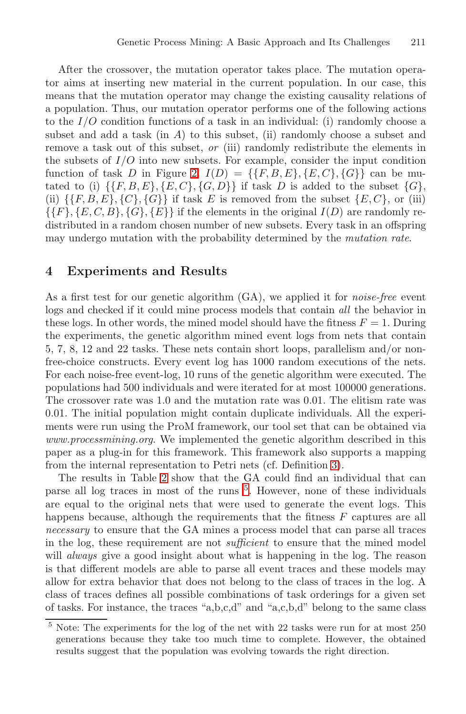<span id="page-8-0"></span>After the crossover, the mutation operator takes place. The mutation operator aims at [in](#page-4-0)serting new material in the current population. In our case, this means that the mutation operator may change the existing causality relations of a population. Thus, our mutation operator performs one of the following actions to the  $I/O$  condition functions of a task in an individual: (i) randomly choose a subset and add a task  $(in A)$  to this subset,  $(ii)$  randomly choose a subset and remove a task out of this subset, *or* (iii) randomly redistribute the elements in the subsets of  $I/O$  into new subsets. For example, consider the input condition function of task D in Figure 2.  $I(D) = \{\{F, B, E\}, \{E, C\}, \{G\}\}\)$  can be mutated to (i)  $\{F, B, E\}, \{E, C\}, \{G, D\}\}\$ if task D is added to the subset  $\{G\},\$ (ii)  $\{\{F, B, E\}, \{C\}, \{G\}\}\$ if task E is removed from the subset  $\{E, C\}$ , or (iii)  $\{F\}, \{E, C, B\}, \{G\}, \{E\}\}\$ if the elements in the original  $I(D)$  are randomly redistributed in a random chosen number of new subsets. Every task in an offspring may undergo mutation with the probability determined by the *mutation rate*.

### **4 Experiments and Results**

As a first test for our genetic algorithm (GA), we applied it for *noise-free* event logs and checked if it could mine process models that contain *all* the behavior in these logs. In other words, the mined model should have the fitness  $F = 1$ . During the experiments, the genetic algorithm mined event logs from nets that contain 5, 7, 8, 12 and 22 tasks. These nets contain short loops, parallelism and/or nonfree-choice constructs. Every event log has 1000 random executions of the nets. For each noise-free event-log, 10 runs of t[he](#page-5-0) genetic algorithm were executed. The popu[lat](#page-9-0)ions had 500 individuals and were iterated for at most 100000 generations. The crossover rate was [1](#page-8-1).0 and the mutation rate was 0.01. The elitism rate was 0.01. The initial population might contain duplicate individuals. All the experiments were run using the ProM framework, our tool set that can be obtained via *www.processmining.org*. We implemented the genetic algorithm described in this paper as a plug-in for this framework. This framework also supports a mapping from the internal representation to Petri nets (cf. Definition 3).

<span id="page-8-1"></span>The results in Table 2 show that the GA could find an individual that can parse all log traces in most of the runs <sup>5</sup>. However, none of these individuals are equal to the original nets that were used to generate the event logs. This happens because, although the requirements that the fitness F captures are all *necessary* to ensure that the GA mines a process model that can parse all traces in the log, these requirement are not *sufficient* to ensure that the mined model will *always* give a good insight about what is happening in the log. The reason is that different models are able to parse all event traces and these models may allow for extra behavior that does not belong to the class of traces in the log. A class of traces defines all possible combinations of task orderings for a given set of tasks. For instance, the traces "a,b,c,d" and "a,c,b,d" belong to the same class

<sup>&</sup>lt;sup>5</sup> Note: The experiments for the log of the net with 22 tasks were run for at most 250 generations because they take too much time to complete. However, the obtained results suggest that the population was evolving towards the right direction.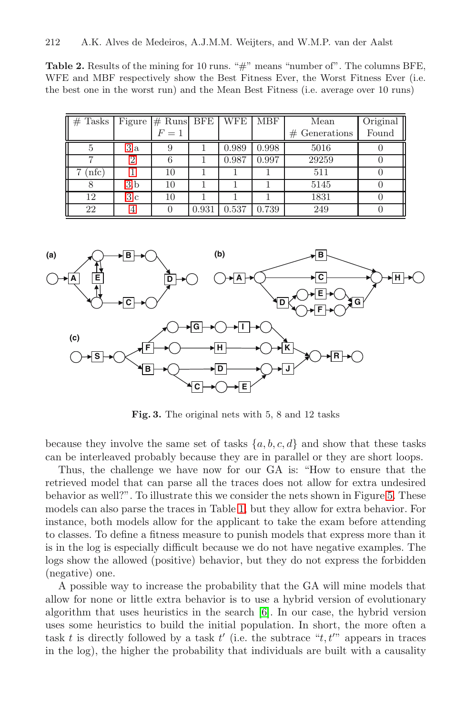<span id="page-9-0"></span>[T](#page-4-0)able 2. Results of the mining for 10 runs. "#" means "number of". The columns BFE, [W](#page-1-0)FE and MBF respectively show the Best Fitness Ever, the Worst Fitness Ever (i.e. the best one in the worst run) and the Mean Best Fitness (i.e. average over 10 runs)

| $#$ Tasks |     | Figure $#$ Runs BFE   WFE |       |       | MBF   | Mean            | Original |
|-----------|-----|---------------------------|-------|-------|-------|-----------------|----------|
|           |     | $F=1$                     |       |       |       | $#$ Generations | Found    |
|           | 3.a |                           |       | 0.989 | 0.998 | 5016            |          |
|           | ച   |                           |       | 0.987 | 0.997 | 29259           |          |
| (nfc)     |     | 10                        |       |       |       | 511             |          |
|           | 3.b | 10                        |       |       |       | 5145            |          |
| 12        | 3.c | 10                        |       |       |       | 1831            |          |
| 22        |     |                           | 0.931 | 0.537 | 0.739 | 249             |          |



**Fig[. 3](#page-1-1).** The original nets with 5, 8 and 12 tasks

because they involve the same set of tasks  $\{a, b, c, d\}$  and show that these tasks can be interleaved probably because they are in parallel or they are short loops.

Thus, the challenge we have now for our GA is: "How to ensure that the retrieved model that can parse all the traces does not allow for extra undesired behavior as well?". To illustrate this we consider the nets shown in Figure 5. These models can also parse the traces in Table 1, but they allow for extra behavior. For instance, both models allo[w](#page-12-1) for the applicant to take the exam before attending to classes. To define a fitness measure to punish models that express more than it is in the log is especially difficult because we do not have negative examples. The logs show the allowed (positive) behavior, but they do not express the forbidden (negative) one.

A possible way to increase the probability that the GA will mine models that allow for none or little extra behavior is to use a hybrid version of evolutionary algorithm that uses heuristics in the search [6]. In our case, the hybrid version uses some heuristics to build the initial population. In short, the more often a task t is directly followed by a task  $t'$  (i.e. the subtrace " $t, t''$  appears in traces in the log), the higher the probability that individuals are built with a causality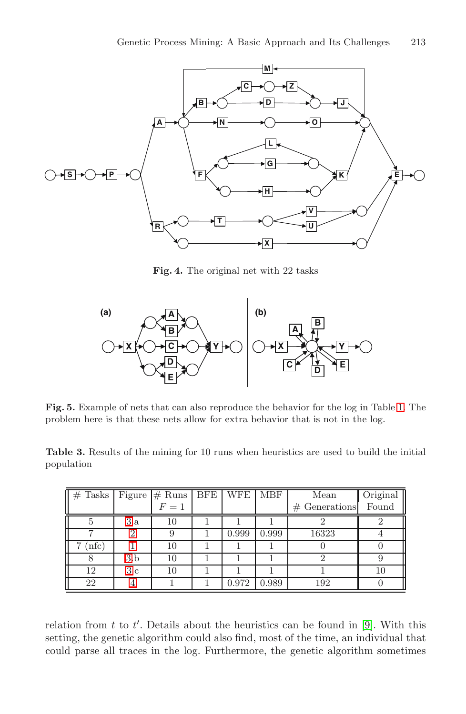



**Fig. 4.** The original net with 22 tasks



<span id="page-10-0"></span>**Fig. 5.** Example of nets that can also reproduce the behavior for the log in Table 1. The problem here is that these nets allow for extra behavior that is not in the log.

**[T](#page-1-0)able 3.** Results of the mining for 10 runs when heuristics are used to build the initial population

| $#$ Tasks |     | Figure $#$ Runs BFE WFE |       | MBF   | Mean                      | Original |
|-----------|-----|-------------------------|-------|-------|---------------------------|----------|
|           |     | $F=1$                   |       |       | $# \, \text{Generations}$ | Found    |
| 5         | 3.a | 10                      |       |       |                           |          |
|           |     |                         | 0.999 | 0.999 | 16323                     |          |
| (nfc)     |     | 10                      |       |       |                           |          |
|           | 3.b | 10                      |       |       |                           |          |
| 12        | 3.c | 10                      |       |       |                           | 10       |
| 22        |     |                         | 0.972 | 0.989 | 192                       |          |

relation from  $t$  to  $t'$ . Details about the heuristics can be found in [9]. With this setting, the genetic algorithm could also find, most of the time, an individual that could parse all traces in the log. Furthermore, the genetic algorithm sometimes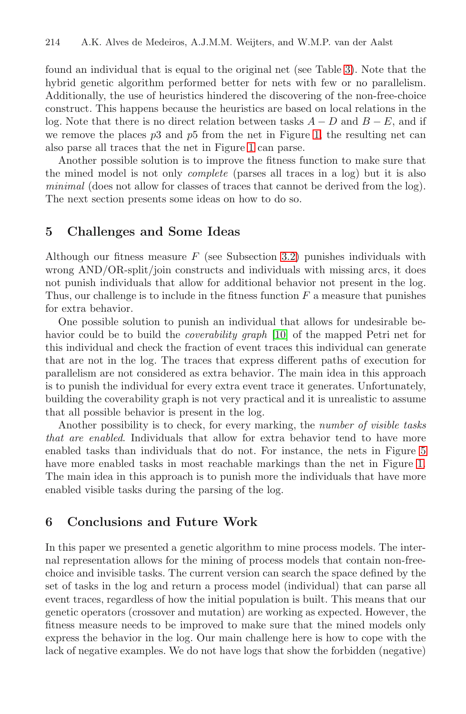found an individual that is equal to the original net (see Table 3). Note that the hybrid genetic algorithm performed better for nets with few or no parallelism. Additionally, the use of heuristics hindered the discovering of the non-free-choice construct. This happens because the heuristics are based on local relations in the log. Note that there is no direct relation between tasks  $A - D$  and  $B - E$ , and if we remove the places  $p3$  and  $p5$  from the net in Figure 1, the resulting net can also parse all traces that the net in Figure 1 can parse.

<span id="page-11-0"></span>Another possible solution is [to i](#page-6-2)mprove the fitness function to make sure that the mined model is not only *complete* (parses all traces in a log) but it is also *minimal* (does not allow for classes of traces that cannot be derived from the log). The next section presents some ideas on how to do so.

### **5 Challenges and So[me](#page-12-2) Ideas**

Although our fitness measure  $F$  (see Subsection 3.2) punishes individuals with wrong AND/OR-split/join constructs and individuals with missing arcs, it does not punish individuals that allow for additional behavior not present in the log. Thus, our challenge is to include in the fitness function  $F$  a measure that punishes for extra behavior.

One possible solution to punish an individual that allows for undesirable behavior could be to build the *coverability graph* [10] of the mapped Petri net for this individual and check the fraction of event traces this individual can generate that are not in the log. The traces that express different p[ath](#page-10-0)s of execution for parallelism are not considered as extra behavior. The main [id](#page-1-0)ea in this approach is to punish the individual for every extra event trace it generates. Unfortunately, building the coverability graph is not very practical and it is unrealistic to assume that all possible behavior is present in the log.

<span id="page-11-1"></span>Another possibility is to check, for every marking, the *number of visible tasks that are enabled*. Individuals that allow for extra behavior tend to have more enabled tasks than individuals that do not. For instance, the nets in Figure 5 have more enabled tasks in most reachable markings than the net in Figure 1. The main idea in this approach is to punish more the individuals that have more enabled visible tasks during the parsing of the log.

# **6 Conclusions and Future Work**

In this paper we presented a genetic algorithm to mine process models. The internal representation allows for the mining of process models that contain non-freechoice and invisible tasks. The current version can search the space defined by the set of tasks in the log and return a process model (individual) that can parse all event traces, regardless of how the initial population is built. This means that our genetic operators (crossover and mutation) are working as expected. However, the fitness measure needs to be improved to make sure that the mined models only express the behavior in the log. Our main challenge here is how to cope with the lack of negative examples. We do not have logs that show the forbidden (negative)